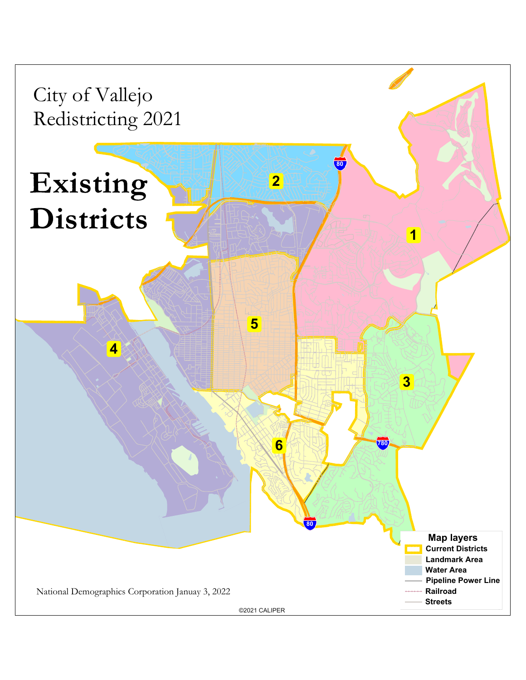